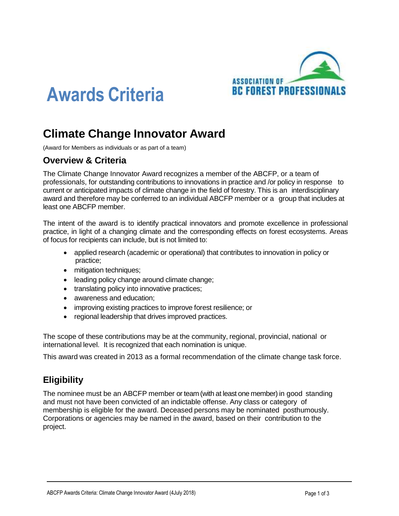

# **Awards Criteria**

# **Climate Change Innovator Award**

(Award for Members as individuals or as part of a team)

#### **Overview & Criteria**

The Climate Change Innovator Award recognizes a member of the ABCFP, or a team of professionals, for outstanding contributions to innovations in practice and /or policy in response to current or anticipated impacts of climate change in the field of forestry. This is an interdisciplinary award and therefore may be conferred to an individual ABCFP member or a group that includes at least one ABCFP member.

The intent of the award is to identify practical innovators and promote excellence in professional practice, in light of a changing climate and the corresponding effects on forest ecosystems. Areas of focus for recipients can include, but is not limited to:

- applied research (academic or operational) that contributes to innovation in policy or practice;
- mitigation techniques;
- leading policy change around climate change;
- translating policy into innovative practices;
- awareness and education;
- improving existing practices to improve forest resilience; or
- regional leadership that drives improved practices.

The scope of these contributions may be at the community, regional, provincial, national or international level. It is recognized that each nomination is unique.

This award was created in 2013 as a formal recommendation of the climate change task force.

## **Eligibility**

The nominee must be an ABCFP member or team (with at least one member) in good standing and must not have been convicted of an indictable offense. Any class or category of membership is eligible for the award. Deceased persons may be nominated posthumously. Corporations or agencies may be named in the award, based on their contribution to the project.